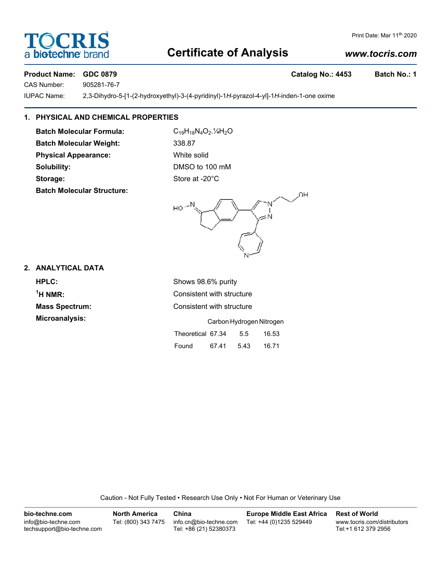# **Certificate of Analysis**

# Print Date: Mar 11<sup>th</sup> 2020

#### **Product Name: GDC 0879 Catalog No.: 4453 Batch No.: 1**

CAS Number: 905281-76-7

IUPAC Name: 2,3-Dihydro-5-[1-(2-hydroxyethyl)-3-(4-pyridinyl)-1*H*-pyrazol-4-yl]-1*H*-inden-1-one oxime

#### **1. PHYSICAL AND CHEMICAL PROPERTIES**

Batch Molecular Formula: C<sub>19</sub>H<sub>18</sub>N<sub>4</sub>O<sub>2</sub>.<sup>1</sup>/<sub>4</sub>H<sub>2</sub>O **Batch Molecular Weight:** 338.87 **Physical Appearance:** White solid **Solubility:** DMSO to 100 mM Storage: Storage: Store at -20°C **Batch Molecular Structure:**

OH HO ۱<br>المبر

#### **2. ANALYTICAL DATA**

**HPLC:** Shows 98.6% purity  $<sup>1</sup>H NMR$ :</sup> **Microanalysis:** 

**Consistent with structure Mass Spectrum:** Consistent with structure

|                   | Carbon Hydrogen Nitrogen |      |       |  |  |
|-------------------|--------------------------|------|-------|--|--|
| Theoretical 67.34 |                          | 5.5  | 16.53 |  |  |
| Found             | 67.41                    | 5.43 | 16.71 |  |  |

Caution - Not Fully Tested • Research Use Only • Not For Human or Veterinary Use

| bio-techne.com                                    | <b>North America</b> | China                                            | <b>Europe Middle East Africa</b> | <b>Rest of World</b>                               |
|---------------------------------------------------|----------------------|--------------------------------------------------|----------------------------------|----------------------------------------------------|
| info@bio-techne.com<br>techsupport@bio-techne.com | Tel: (800) 343 7475  | info.cn@bio-techne.com<br>Tel: +86 (21) 52380373 | Tel: +44 (0)1235 529449          | www.tocris.com/distributors<br>Tel:+1 612 379 2956 |



*www.tocris.com*